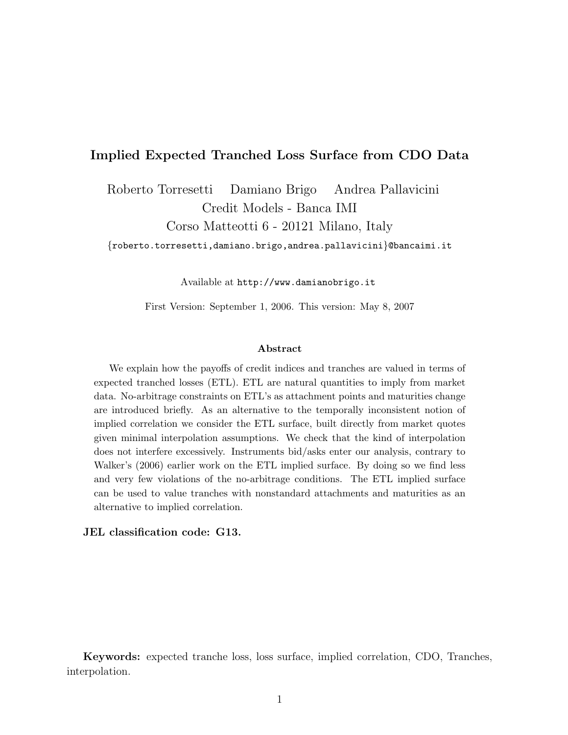## Implied Expected Tranched Loss Surface from CDO Data

Roberto Torresetti Damiano Brigo Andrea Pallavicini Credit Models - Banca IMI

Corso Matteotti 6 - 20121 Milano, Italy

{roberto.torresetti,damiano.brigo,andrea.pallavicini}@bancaimi.it

Available at http://www.damianobrigo.it

First Version: September 1, 2006. This version: May 8, 2007

#### Abstract

We explain how the payoffs of credit indices and tranches are valued in terms of expected tranched losses (ETL). ETL are natural quantities to imply from market data. No-arbitrage constraints on ETL's as attachment points and maturities change are introduced briefly. As an alternative to the temporally inconsistent notion of implied correlation we consider the ETL surface, built directly from market quotes given minimal interpolation assumptions. We check that the kind of interpolation does not interfere excessively. Instruments bid/asks enter our analysis, contrary to Walker's (2006) earlier work on the ETL implied surface. By doing so we find less and very few violations of the no-arbitrage conditions. The ETL implied surface can be used to value tranches with nonstandard attachments and maturities as an alternative to implied correlation.

#### JEL classification code: G13.

Keywords: expected tranche loss, loss surface, implied correlation, CDO, Tranches, interpolation.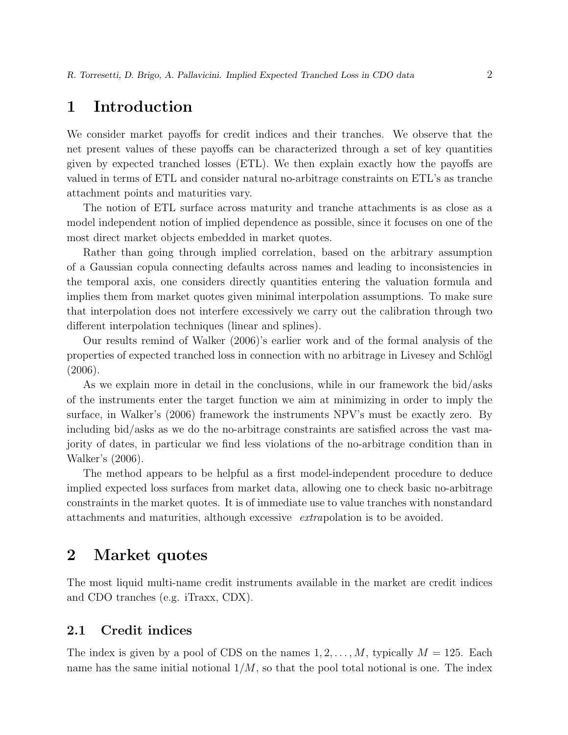## 1 Introduction

We consider market payoffs for credit indices and their tranches. We observe that the net present values of these payoffs can be characterized through a set of key quantities given by expected tranched losses (ETL). We then explain exactly how the payoffs are valued in terms of ETL and consider natural no-arbitrage constraints on ETL's as tranche attachment points and maturities vary.

The notion of ETL surface across maturity and tranche attachments is as close as a model independent notion of implied dependence as possible, since it focuses on one of the most direct market objects embedded in market quotes.

Rather than going through implied correlation, based on the arbitrary assumption of a Gaussian copula connecting defaults across names and leading to inconsistencies in the temporal axis, one considers directly quantities entering the valuation formula and implies them from market quotes given minimal interpolation assumptions. To make sure that interpolation does not interfere excessively we carry out the calibration through two different interpolation techniques (linear and splines).

Our results remind of Walker (2006)'s earlier work and of the formal analysis of the properties of expected tranched loss in connection with no arbitrage in Livesey and Schlögl (2006).

As we explain more in detail in the conclusions, while in our framework the bid/asks of the instruments enter the target function we aim at minimizing in order to imply the surface, in Walker's (2006) framework the instruments NPV's must be exactly zero. By including bid/asks as we do the no-arbitrage constraints are satisfied across the vast majority of dates, in particular we find less violations of the no-arbitrage condition than in Walker's (2006).

The method appears to be helpful as a first model-independent procedure to deduce implied expected loss surfaces from market data, allowing one to check basic no-arbitrage constraints in the market quotes. It is of immediate use to value tranches with nonstandard attachments and maturities, although excessive extrapolation is to be avoided.

## 2 Market quotes

The most liquid multi-name credit instruments available in the market are credit indices and CDO tranches (e.g. iTraxx, CDX).

#### 2.1 Credit indices

The index is given by a pool of CDS on the names  $1, 2, \ldots, M$ , typically  $M = 125$ . Each name has the same initial notional  $1/M$ , so that the pool total notional is one. The index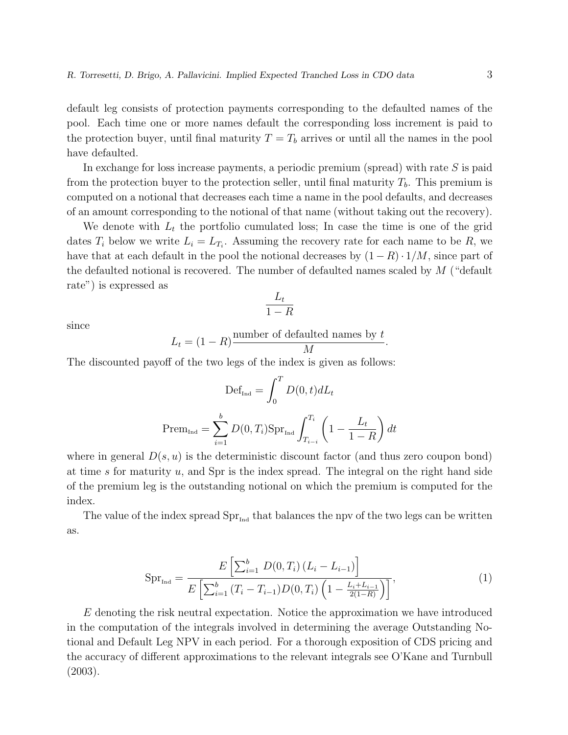default leg consists of protection payments corresponding to the defaulted names of the pool. Each time one or more names default the corresponding loss increment is paid to the protection buyer, until final maturity  $T = T_b$  arrives or until all the names in the pool have defaulted.

In exchange for loss increase payments, a periodic premium (spread) with rate  $S$  is paid from the protection buyer to the protection seller, until final maturity  $T<sub>b</sub>$ . This premium is computed on a notional that decreases each time a name in the pool defaults, and decreases of an amount corresponding to the notional of that name (without taking out the recovery).

We denote with  $L_t$  the portfolio cumulated loss; In case the time is one of the grid dates  $T_i$  below we write  $L_i = L_{T_i}$ . Assuming the recovery rate for each name to be R, we have that at each default in the pool the notional decreases by  $(1 - R) \cdot 1/M$ , since part of the defaulted notional is recovered. The number of defaulted names scaled by  $M$  ("default rate") is expressed as

$$
\frac{L_t}{1-R}
$$

since

$$
L_t = (1 - R) \frac{\text{number of defaulted names by } t}{M}.
$$

The discounted payoff of the two legs of the index is given as follows:

$$
\text{Def}_{\text{Ind}} = \int_0^T D(0, t) dL_t
$$

$$
\text{Prem}_{\text{Ind}} = \sum_{i=1}^b D(0, T_i) \text{Spr}_{\text{Ind}} \int_{T_{i-i}}^{T_i} \left(1 - \frac{L_t}{1 - R}\right) dt
$$

where in general  $D(s, u)$  is the deterministic discount factor (and thus zero coupon bond) at time s for maturity  $u$ , and Spr is the index spread. The integral on the right hand side of the premium leg is the outstanding notional on which the premium is computed for the index.

The value of the index spread  $\text{Spr}_{\text{Ind}}$  that balances the npv of the two legs can be written as.

$$
Spr_{\text{Ind}} = \frac{E\left[\sum_{i=1}^{b} D(0, T_i) (L_i - L_{i-1})\right]}{E\left[\sum_{i=1}^{b} (T_i - T_{i-1}) D(0, T_i) \left(1 - \frac{L_i + L_{i-1}}{2(1-R)}\right)\right]},
$$
\n(1)

 $E$  denoting the risk neutral expectation. Notice the approximation we have introduced in the computation of the integrals involved in determining the average Outstanding Notional and Default Leg NPV in each period. For a thorough exposition of CDS pricing and the accuracy of different approximations to the relevant integrals see O'Kane and Turnbull (2003).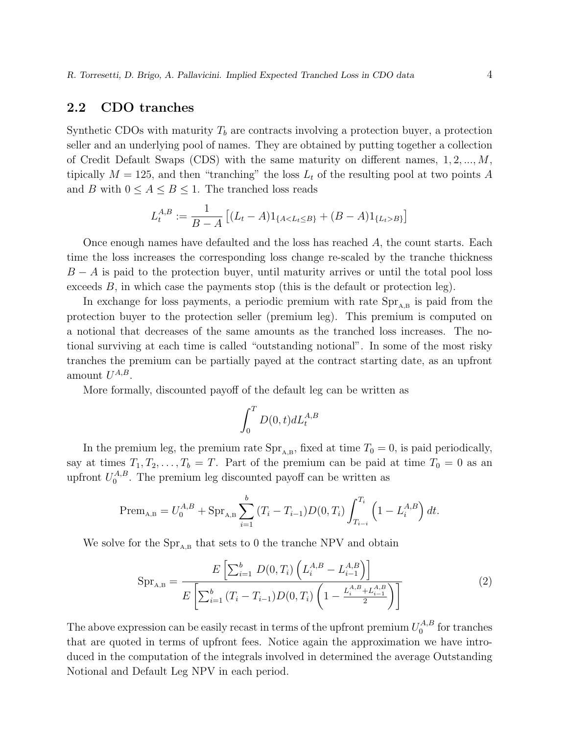## 2.2 CDO tranches

Synthetic CDOs with maturity  $T<sub>b</sub>$  are contracts involving a protection buyer, a protection seller and an underlying pool of names. They are obtained by putting together a collection of Credit Default Swaps (CDS) with the same maturity on different names,  $1, 2, ..., M$ , tipically  $M = 125$ , and then "tranching" the loss  $L_t$  of the resulting pool at two points A and B with  $0 \leq A \leq B \leq 1$ . The tranched loss reads

$$
L_t^{A,B} := \frac{1}{B-A} \left[ (L_t - A) \mathbf{1}_{\{A < L_t \le B\}} + (B - A) \mathbf{1}_{\{L_t > B\}} \right]
$$

Once enough names have defaulted and the loss has reached A, the count starts. Each time the loss increases the corresponding loss change re-scaled by the tranche thickness  $B - A$  is paid to the protection buyer, until maturity arrives or until the total pool loss exceeds  $B$ , in which case the payments stop (this is the default or protection leg).

In exchange for loss payments, a periodic premium with rate  $\text{Spr}_{A,B}$  is paid from the protection buyer to the protection seller (premium leg). This premium is computed on a notional that decreases of the same amounts as the tranched loss increases. The notional surviving at each time is called "outstanding notional". In some of the most risky tranches the premium can be partially payed at the contract starting date, as an upfront amount  $U^{A,B}$ .

More formally, discounted payoff of the default leg can be written as

$$
\int_0^T D(0,t)dL_t^{A,B}
$$

In the premium leg, the premium rate  $Spr_{A,B}$ , fixed at time  $T_0 = 0$ , is paid periodically, say at times  $T_1, T_2, \ldots, T_b = T$ . Part of the premium can be paid at time  $T_0 = 0$  as an upfront  $U_0^{A,B}$  $_{0}^{A,B}$ . The premium leg discounted payoff can be written as

$$
\text{Prem}_{A,B} = U_0^{A,B} + \text{Spr}_{A,B} \sum_{i=1}^b (T_i - T_{i-1}) D(0,T_i) \int_{T_{i-i}}^{T_i} \left(1 - L_i^{A,B}\right) dt.
$$

We solve for the  $\text{Spr}_{A,B}$  that sets to 0 the tranche NPV and obtain

$$
Spr_{A,B} = \frac{E\left[\sum_{i=1}^{b} D(0,T_i) \left(L_i^{A,B} - L_{i-1}^{A,B}\right)\right]}{E\left[\sum_{i=1}^{b} (T_i - T_{i-1}) D(0,T_i) \left(1 - \frac{L_i^{A,B} + L_{i-1}^{A,B}}{2}\right)\right]}
$$
(2)

The above expression can be easily recast in terms of the upfront premium  $U_0^{A,B}$  $_{0}^{A,B}$  for tranches that are quoted in terms of upfront fees. Notice again the approximation we have introduced in the computation of the integrals involved in determined the average Outstanding Notional and Default Leg NPV in each period.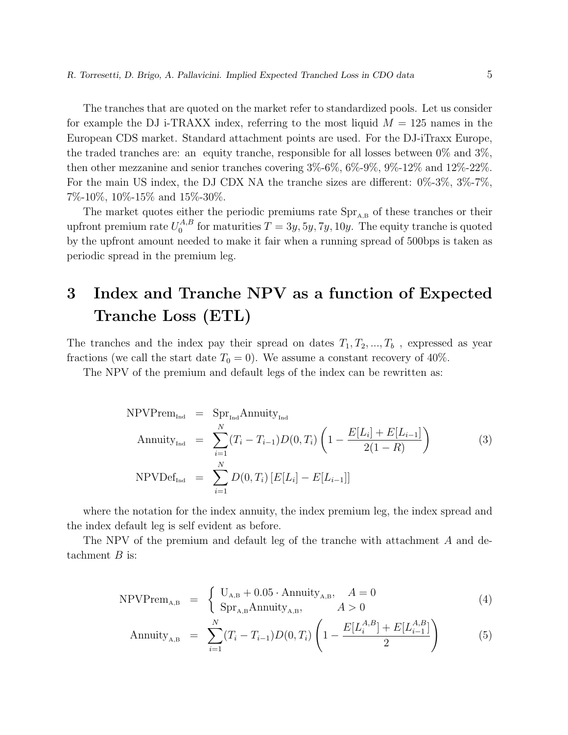The tranches that are quoted on the market refer to standardized pools. Let us consider for example the DJ i-TRAXX index, referring to the most liquid  $M = 125$  names in the European CDS market. Standard attachment points are used. For the DJ-iTraxx Europe, the traded tranches are: an equity tranche, responsible for all losses between  $0\%$  and  $3\%$ , then other mezzanine and senior tranches covering 3%-6%, 6%-9%, 9%-12% and 12%-22%. For the main US index, the DJ CDX NA the tranche sizes are different: 0%-3%, 3%-7%, 7%-10%, 10%-15% and 15%-30%.

The market quotes either the periodic premiums rate  $\text{Spr}_{A,B}$  of these tranches or their upfront premium rate  $U_0^{A,B}$  $_0^{A,B}$  for maturities  $T = 3y, 5y, 7y, 10y$ . The equity tranche is quoted by the upfront amount needed to make it fair when a running spread of 500bps is taken as periodic spread in the premium leg.

# 3 Index and Tranche NPV as a function of Expected Tranche Loss (ETL)

The tranches and the index pay their spread on dates  $T_1, T_2, ..., T_b$ , expressed as year fractions (we call the start date  $T_0 = 0$ ). We assume a constant recovery of 40%.

The NPV of the premium and default legs of the index can be rewritten as:

$$
\text{NPVPrem}_{\text{Ind}} = \text{Spr}_{\text{Ind}} \text{Annuity}_{\text{Ind}}
$$
\n
$$
\text{Annuity}_{\text{Ind}} = \sum_{i=1}^{N} (T_i - T_{i-1}) D(0, T_i) \left( 1 - \frac{E[L_i] + E[L_{i-1}]}{2(1 - R)} \right) \tag{3}
$$
\n
$$
\text{NPVDef}_{\text{Ind}} = \sum_{i=1}^{N} D(0, T_i) \left[ E[L_i] - E[L_{i-1}] \right]
$$

where the notation for the index annuity, the index premium leg, the index spread and the index default leg is self evident as before.

The NPV of the premium and default leg of the tranche with attachment A and detachment  $B$  is:

$$
NPV\text{Prem}_{A,B} = \begin{cases} U_{A,B} + 0.05 \cdot \text{Annuity}_{A,B}, & A = 0\\ \text{Spr}_{A,B} \text{Annuity}_{A,B}, & A > 0 \end{cases}
$$
(4)

$$
\text{Annuity}_{A,B} = \sum_{i=1}^{N} (T_i - T_{i-1}) D(0, T_i) \left( 1 - \frac{E[L_i^{A,B}] + E[L_{i-1}^{A,B}]}{2} \right) \tag{5}
$$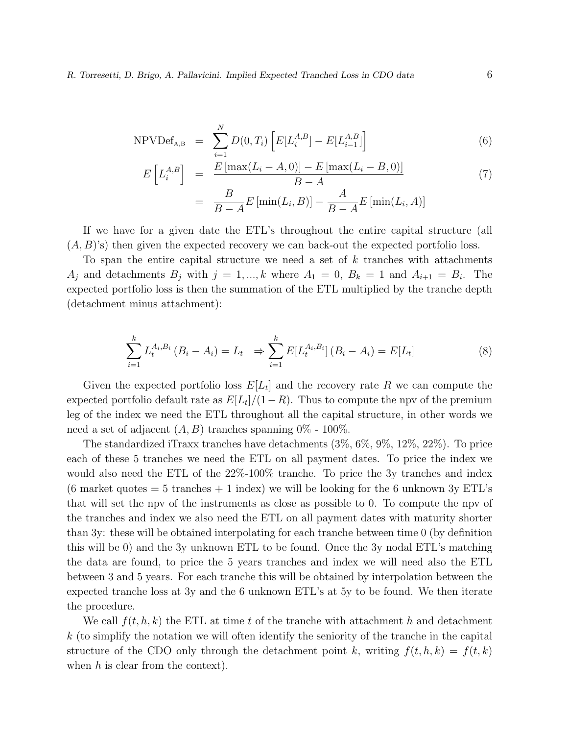R. Torresetti, D. Brigo, A. Pallavicini. Implied Expected Tranched Loss in CDO data 6

$$
NPVDef_{A,B} = \sum_{i=1}^{N} D(0, T_i) \left[ E[L_i^{A,B}] - E[L_{i-1}^{A,B}] \right]
$$
 (6)

$$
E\left[L_i^{A,B}\right] = \frac{E\left[\max(L_i - A, 0)\right] - E\left[\max(L_i - B, 0)\right]}{B - A}
$$
\n
$$
= \frac{B}{B - A}E\left[\min(L_i, B)\right] - \frac{A}{B - A}E\left[\min(L_i, A)\right]
$$
\n(7)

If we have for a given date the ETL's throughout the entire capital structure (all  $(A, B)$ 's) then given the expected recovery we can back-out the expected portfolio loss.

To span the entire capital structure we need a set of  $k$  tranches with attachments  $A_j$  and detachments  $B_j$  with  $j = 1, ..., k$  where  $A_1 = 0, B_k = 1$  and  $A_{i+1} = B_i$ . The expected portfolio loss is then the summation of the ETL multiplied by the tranche depth (detachment minus attachment):

$$
\sum_{i=1}^{k} L_t^{A_i, B_i} (B_i - A_i) = L_t \Rightarrow \sum_{i=1}^{k} E[L_t^{A_i, B_i}] (B_i - A_i) = E[L_t]
$$
 (8)

Given the expected portfolio loss  $E[L_t]$  and the recovery rate R we can compute the expected portfolio default rate as  $E[L_t]/(1-R)$ . Thus to compute the npv of the premium leg of the index we need the ETL throughout all the capital structure, in other words we need a set of adjacent  $(A, B)$  tranches spanning  $0\%$  - 100%.

The standardized iTraxx tranches have detachments (3%, 6%, 9%, 12%, 22%). To price each of these 5 tranches we need the ETL on all payment dates. To price the index we would also need the ETL of the  $22\%$ -100% tranche. To price the 3y tranches and index (6 market quotes  $= 5$  tranches  $+ 1$  index) we will be looking for the 6 unknown 3y ETL's that will set the npv of the instruments as close as possible to 0. To compute the npv of the tranches and index we also need the ETL on all payment dates with maturity shorter than 3y: these will be obtained interpolating for each tranche between time 0 (by definition this will be 0) and the 3y unknown ETL to be found. Once the 3y nodal ETL's matching the data are found, to price the 5 years tranches and index we will need also the ETL between 3 and 5 years. For each tranche this will be obtained by interpolation between the expected tranche loss at 3y and the 6 unknown ETL's at 5y to be found. We then iterate the procedure.

We call  $f(t, h, k)$  the ETL at time t of the tranche with attachment h and detachment  $k$  (to simplify the notation we will often identify the seniority of the tranche in the capital structure of the CDO only through the detachment point k, writing  $f(t, h, k) = f(t, k)$ when  $h$  is clear from the context.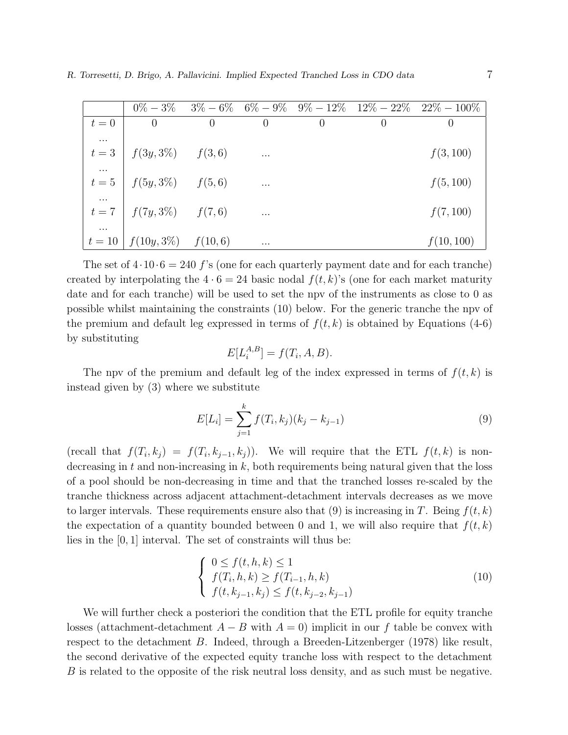|          |                                             |                |                |                |                  | $0\% - 3\% - 3\% - 6\% - 6\% - 9\% - 9\% - 12\% - 12\% - 22\% - 22\% - 100\%$ |
|----------|---------------------------------------------|----------------|----------------|----------------|------------------|-------------------------------------------------------------------------------|
| $t=0$    | $\overline{0}$                              | $\overline{0}$ | $\overline{0}$ | $\overline{0}$ | $\left( \right)$ | $\left( \right)$                                                              |
| $\cdots$ |                                             |                |                |                |                  |                                                                               |
|          | $t = 3 \left  f(3y, 3\%) - f(3, 6) \right $ |                | $\sim$ $\sim$  |                |                  | f(3, 100)                                                                     |
| $\cdots$ |                                             |                |                |                |                  |                                                                               |
|          | $t = 5 \int f(5y, 3\%)$ $f(5, 6)$           |                | $\cdots$       |                |                  | f(5, 100)                                                                     |
|          |                                             |                |                |                |                  |                                                                               |
|          | $t = 7$   $f(7y, 3\%)$ $f(7, 6)$            |                | $\cdots$       |                |                  | f(7, 100)                                                                     |
| $\cdots$ |                                             |                |                |                |                  |                                                                               |
|          | $t = 10$   $f(10y, 3\%)$ $f(10, 6)$         |                | $\cdots$       |                |                  | f(10, 100)                                                                    |

The set of  $4 \cdot 10 \cdot 6 = 240$  f's (one for each quarterly payment date and for each tranche) created by interpolating the  $4 \cdot 6 = 24$  basic nodal  $f(t, k)$ 's (one for each market maturity date and for each tranche) will be used to set the npv of the instruments as close to 0 as possible whilst maintaining the constraints (10) below. For the generic tranche the npv of the premium and default leg expressed in terms of  $f(t, k)$  is obtained by Equations (4-6) by substituting

$$
E[L_i^{A,B}] = f(T_i, A, B).
$$

The npv of the premium and default leg of the index expressed in terms of  $f(t, k)$  is instead given by (3) where we substitute

$$
E[L_i] = \sum_{j=1}^{k} f(T_i, k_j)(k_j - k_{j-1})
$$
\n(9)

(recall that  $f(T_i, k_j) = f(T_i, k_{j-1}, k_j)$ ). We will require that the ETL  $f(t, k)$  is nondecreasing in t and non-increasing in  $k$ , both requirements being natural given that the loss of a pool should be non-decreasing in time and that the tranched losses re-scaled by the tranche thickness across adjacent attachment-detachment intervals decreases as we move to larger intervals. These requirements ensure also that (9) is increasing in T. Being  $f(t, k)$ the expectation of a quantity bounded between 0 and 1, we will also require that  $f(t, k)$ lies in the [0, 1] interval. The set of constraints will thus be:

$$
\begin{cases}\n0 \le f(t, h, k) \le 1 \\
f(T_i, h, k) \ge f(T_{i-1}, h, k) \\
f(t, k_{j-1}, k_j) \le f(t, k_{j-2}, k_{j-1})\n\end{cases}
$$
\n(10)

We will further check a posteriori the condition that the ETL profile for equity tranche losses (attachment-detachment  $A - B$  with  $A = 0$ ) implicit in our f table be convex with respect to the detachment B. Indeed, through a Breeden-Litzenberger (1978) like result, the second derivative of the expected equity tranche loss with respect to the detachment B is related to the opposite of the risk neutral loss density, and as such must be negative.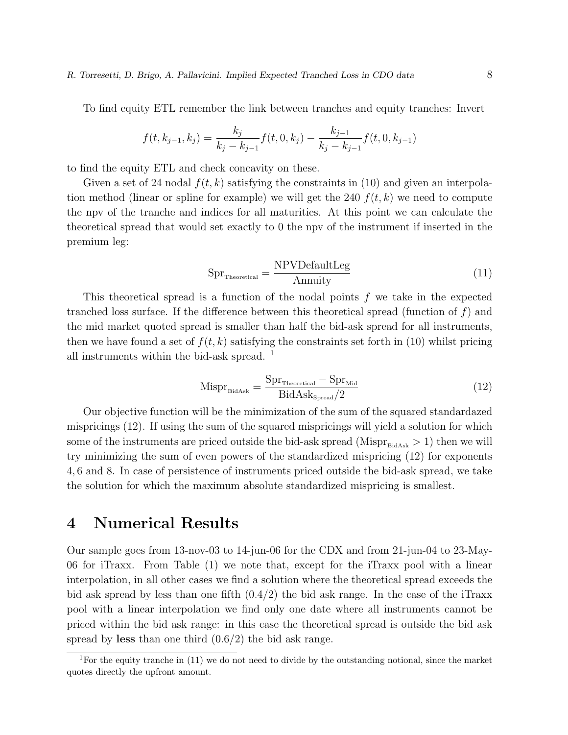To find equity ETL remember the link between tranches and equity tranches: Invert

$$
f(t, k_{j-1}, k_j) = \frac{k_j}{k_j - k_{j-1}} f(t, 0, k_j) - \frac{k_{j-1}}{k_j - k_{j-1}} f(t, 0, k_{j-1})
$$

to find the equity ETL and check concavity on these.

Given a set of 24 nodal  $f(t, k)$  satisfying the constraints in (10) and given an interpolation method (linear or spline for example) we will get the 240  $f(t, k)$  we need to compute the npv of the tranche and indices for all maturities. At this point we can calculate the theoretical spread that would set exactly to 0 the npv of the instrument if inserted in the premium leg:

$$
SprTheoretical = \frac{NPVDefaultLeg}{Annuity}
$$
 (11)

This theoretical spread is a function of the nodal points  $f$  we take in the expected tranched loss surface. If the difference between this theoretical spread (function of  $f$ ) and the mid market quoted spread is smaller than half the bid-ask spread for all instruments, then we have found a set of  $f(t, k)$  satisfying the constraints set forth in (10) whilst pricing all instruments within the bid-ask spread.  $^{\rm 1}$ 

$$
\text{Mispr}_{\text{BidAsk}} = \frac{\text{Spr}_{\text{Theoretical}} - \text{Spr}_{\text{Mid}}}{\text{BidAsk}_{\text{Spread}}/2}
$$
(12)

Our objective function will be the minimization of the sum of the squared standardazed mispricings (12). If using the sum of the squared mispricings will yield a solution for which some of the instruments are priced outside the bid-ask spread (Mispr $_{\text{BidAs}} > 1$ ) then we will try minimizing the sum of even powers of the standardized mispricing (12) for exponents 4, 6 and 8. In case of persistence of instruments priced outside the bid-ask spread, we take the solution for which the maximum absolute standardized mispricing is smallest.

## 4 Numerical Results

Our sample goes from 13-nov-03 to 14-jun-06 for the CDX and from 21-jun-04 to 23-May-06 for iTraxx. From Table (1) we note that, except for the iTraxx pool with a linear interpolation, in all other cases we find a solution where the theoretical spread exceeds the bid ask spread by less than one fifth  $(0.4/2)$  the bid ask range. In the case of the iTraxx pool with a linear interpolation we find only one date where all instruments cannot be priced within the bid ask range: in this case the theoretical spread is outside the bid ask spread by less than one third  $(0.6/2)$  the bid ask range.

<sup>&</sup>lt;sup>1</sup>For the equity tranche in  $(11)$  we do not need to divide by the outstanding notional, since the market quotes directly the upfront amount.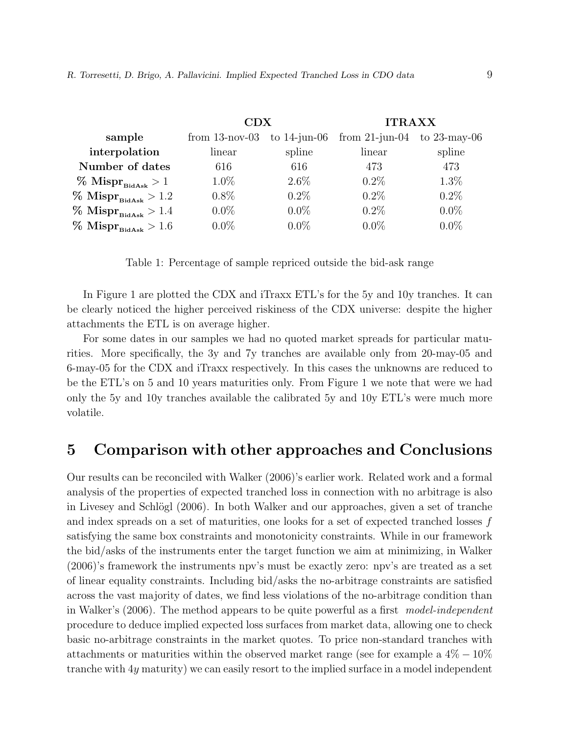|                                     | CDX               |                 | <b>ITRAXX</b>                     |         |  |
|-------------------------------------|-------------------|-----------------|-----------------------------------|---------|--|
| sample                              | from $13$ -nov-03 | to $14$ -jun-06 | from $21$ -jun-04 to $23$ -may-06 |         |  |
| interpolation                       | linear            | spline          | linear                            | spline  |  |
| Number of dates                     | 616               | 616             | 473                               | 473     |  |
| $\%$ Mispr $_{\text{BidAsk}}>1$     | $1.0\%$           | $2.6\%$         | $0.2\%$                           | $1.3\%$ |  |
| $\%$ Mispr <sub>BidAsk</sub> > 1.2  | $0.8\%$           | $0.2\%$         | $0.2\%$                           | $0.2\%$ |  |
| $\%$ Mispr <sub>BidAsk</sub> > 1.4  | $0.0\%$           | $0.0\%$         | $0.2\%$                           | $0.0\%$ |  |
| $\%$ Mispr $_{\text{BidAsk}} > 1.6$ | $0.0\%$           | $0.0\%$         | $0.0\%$                           | $0.0\%$ |  |

Table 1: Percentage of sample repriced outside the bid-ask range

In Figure 1 are plotted the CDX and iTraxx ETL's for the 5y and 10y tranches. It can be clearly noticed the higher perceived riskiness of the CDX universe: despite the higher attachments the ETL is on average higher.

For some dates in our samples we had no quoted market spreads for particular maturities. More specifically, the 3y and 7y tranches are available only from 20-may-05 and 6-may-05 for the CDX and iTraxx respectively. In this cases the unknowns are reduced to be the ETL's on 5 and 10 years maturities only. From Figure 1 we note that were we had only the 5y and 10y tranches available the calibrated 5y and 10y ETL's were much more volatile.

# 5 Comparison with other approaches and Conclusions

Our results can be reconciled with Walker (2006)'s earlier work. Related work and a formal analysis of the properties of expected tranched loss in connection with no arbitrage is also in Livesey and Schlögl  $(2006)$ . In both Walker and our approaches, given a set of tranche and index spreads on a set of maturities, one looks for a set of expected tranched losses f satisfying the same box constraints and monotonicity constraints. While in our framework the bid/asks of the instruments enter the target function we aim at minimizing, in Walker (2006)'s framework the instruments npv's must be exactly zero: npv's are treated as a set of linear equality constraints. Including bid/asks the no-arbitrage constraints are satisfied across the vast majority of dates, we find less violations of the no-arbitrage condition than in Walker's (2006). The method appears to be quite powerful as a first model-independent procedure to deduce implied expected loss surfaces from market data, allowing one to check basic no-arbitrage constraints in the market quotes. To price non-standard tranches with attachments or maturities within the observed market range (see for example a  $4\% - 10\%$ tranche with 4y maturity) we can easily resort to the implied surface in a model independent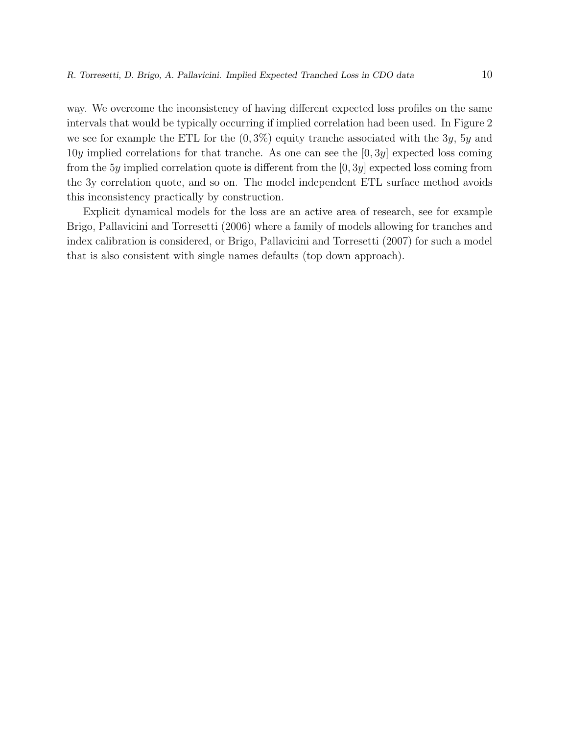way. We overcome the inconsistency of having different expected loss profiles on the same intervals that would be typically occurring if implied correlation had been used. In Figure 2 we see for example the ETL for the  $(0, 3\%)$  equity tranche associated with the 3y, 5y and 10y implied correlations for that tranche. As one can see the  $[0, 3y]$  expected loss coming from the 5y implied correlation quote is different from the  $[0, 3y]$  expected loss coming from the 3y correlation quote, and so on. The model independent ETL surface method avoids this inconsistency practically by construction.

Explicit dynamical models for the loss are an active area of research, see for example Brigo, Pallavicini and Torresetti (2006) where a family of models allowing for tranches and index calibration is considered, or Brigo, Pallavicini and Torresetti (2007) for such a model that is also consistent with single names defaults (top down approach).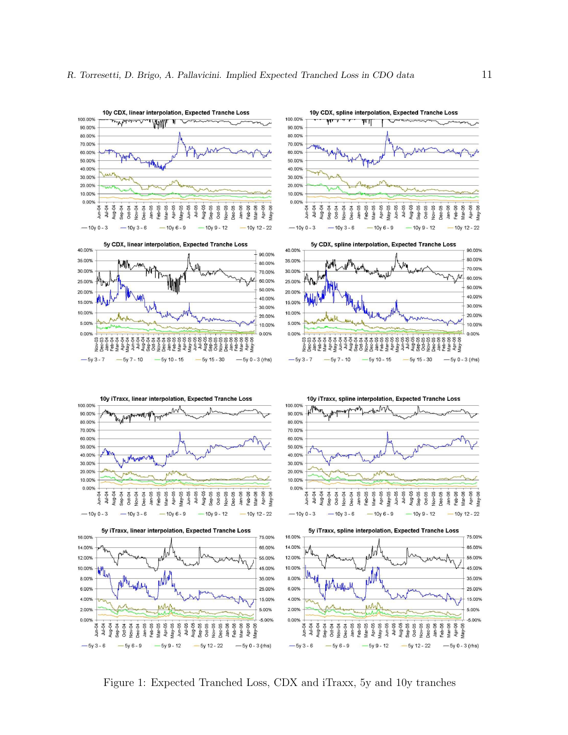

Figure 1: Expected Tranched Loss, CDX and iTraxx, 5y and 10y tranches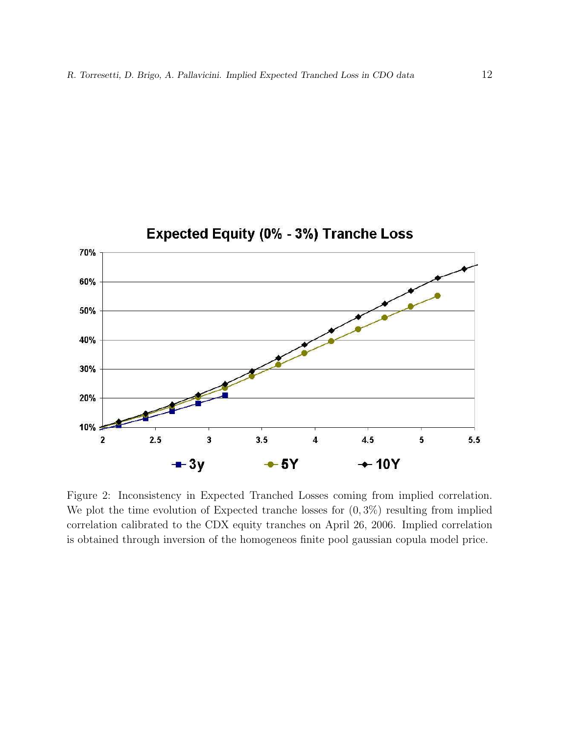

Figure 2: Inconsistency in Expected Tranched Losses coming from implied correlation. We plot the time evolution of Expected tranche losses for  $(0, 3\%)$  resulting from implied correlation calibrated to the CDX equity tranches on April 26, 2006. Implied correlation is obtained through inversion of the homogeneos finite pool gaussian copula model price.